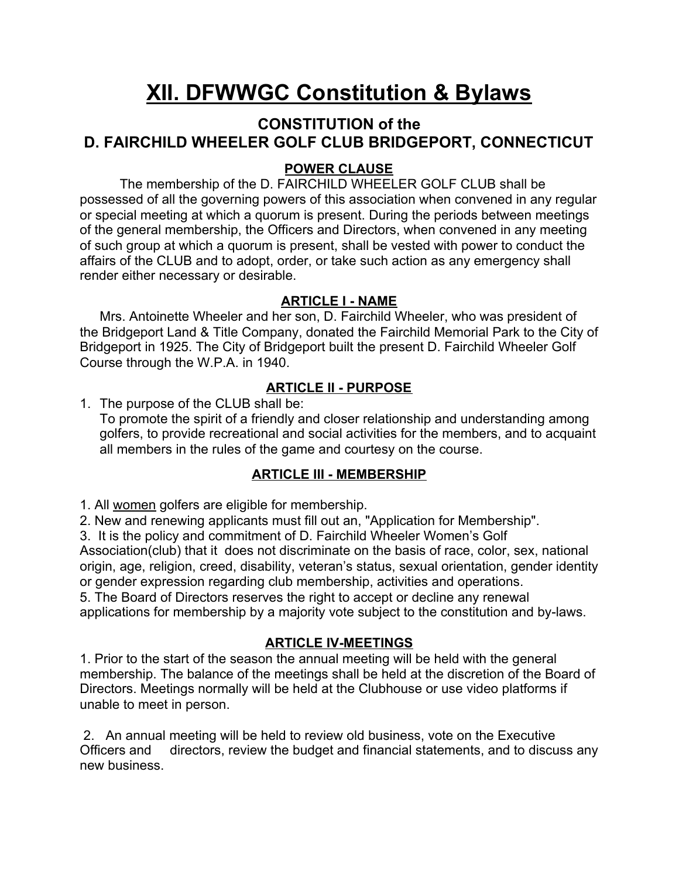# **XII. DFWWGC Constitution & Bylaws**

# **CONSTITUTION of the D. FAIRCHILD WHEELER GOLF CLUB BRIDGEPORT, CONNECTICUT**

#### **POWER CLAUSE**

The membership of the D. FAIRCHILD WHEELER GOLF CLUB shall be possessed of all the governing powers of this association when convened in any regular or special meeting at which a quorum is present. During the periods between meetings of the general membership, the Officers and Directors, when convened in any meeting of such group at which a quorum is present, shall be vested with power to conduct the affairs of the CLUB and to adopt, order, or take such action as any emergency shall render either necessary or desirable.

#### **ARTICLE I - NAME**

Mrs. Antoinette Wheeler and her son, D. Fairchild Wheeler, who was president of the Bridgeport Land & Title Company, donated the Fairchild Memorial Park to the City of Bridgeport in 1925. The City of Bridgeport built the present D. Fairchild Wheeler Golf Course through the W.P.A. in 1940.

## **ARTICLE II - PURPOSE**

1. The purpose of the CLUB shall be:

To promote the spirit of a friendly and closer relationship and understanding among golfers, to provide recreational and social activities for the members, and to acquaint all members in the rules of the game and courtesy on the course.

#### **ARTICLE III - MEMBERSHIP**

1. All women golfers are eligible for membership.

2. New and renewing applicants must fill out an, "Application for Membership".

3. It is the policy and commitment of D. Fairchild Wheeler Women's Golf

Association(club) that it does not discriminate on the basis of race, color, sex, national origin, age, religion, creed, disability, veteran's status, sexual orientation, gender identity or gender expression regarding club membership, activities and operations.

5. The Board of Directors reserves the right to accept or decline any renewal

applications for membership by a majority vote subject to the constitution and by-laws.

## **ARTICLE IV-MEETINGS**

1. Prior to the start of the season the annual meeting will be held with the general membership. The balance of the meetings shall be held at the discretion of the Board of Directors. Meetings normally will be held at the Clubhouse or use video platforms if unable to meet in person.

 2. An annual meeting will be held to review old business, vote on the Executive Officers and directors, review the budget and financial statements, and to discuss any new business.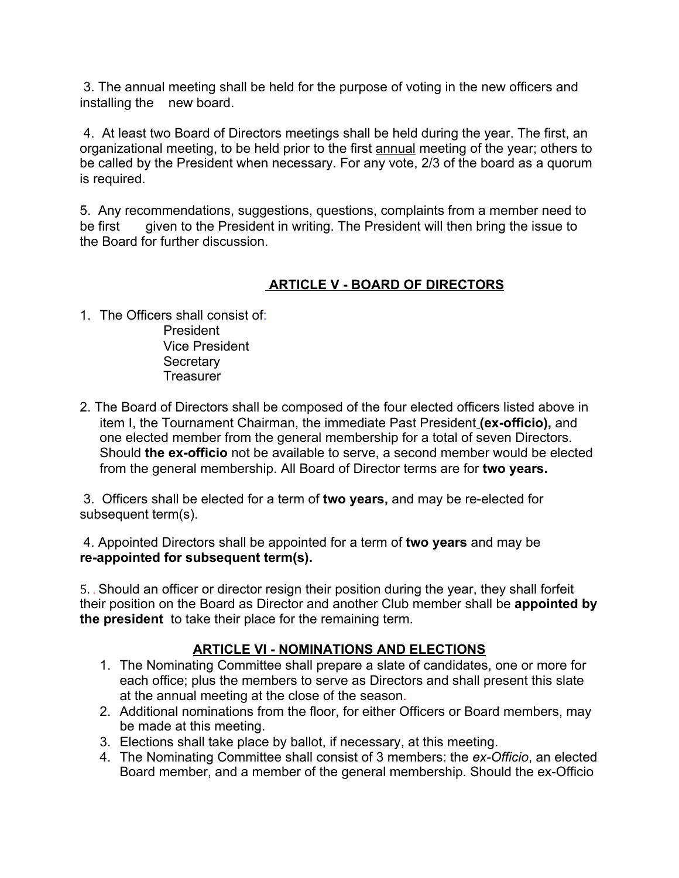3. The annual meeting shall be held for the purpose of voting in the new officers and installing the new board.

 4. At least two Board of Directors meetings shall be held during the year. The first, an organizational meeting, to be held prior to the first annual meeting of the year; others to be called by the President when necessary. For any vote, 2/3 of the board as a quorum is required.

5. Any recommendations, suggestions, questions, complaints from a member need to be first given to the President in writing. The President will then bring the issue to the Board for further discussion.

## **ARTICLE V - BOARD OF DIRECTORS**

- 1. The Officers shall consist of: President Vice President **Secretary Treasurer**
- 2. The Board of Directors shall be composed of the four elected officers listed above in item I, the Tournament Chairman, the immediate Past President **(ex-officio),** and one elected member from the general membership for a total of seven Directors. Should **the ex-officio** not be available to serve, a second member would be elected from the general membership. All Board of Director terms are for **two years.**

3. Officers shall be elected for a term of **two years,** and may be re-elected for subsequent term(s).

 4. Appointed Directors shall be appointed for a term of **two years** and may be **re-appointed for subsequent term(s).**

5. . Should an officer or director resign their position during the year, they shall forfeit their position on the Board as Director and another Club member shall be **appointed by the president** to take their place for the remaining term.

#### **ARTICLE VI - NOMINATIONS AND ELECTIONS**

- 1. The Nominating Committee shall prepare a slate of candidates, one or more for each office; plus the members to serve as Directors and shall present this slate at the annual meeting at the close of the season.
- 2. Additional nominations from the floor, for either Officers or Board members, may be made at this meeting.
- 3. Elections shall take place by ballot, if necessary, at this meeting.
- 4. The Nominating Committee shall consist of 3 members: the *ex-Officio*, an elected Board member, and a member of the general membership. Should the ex-Officio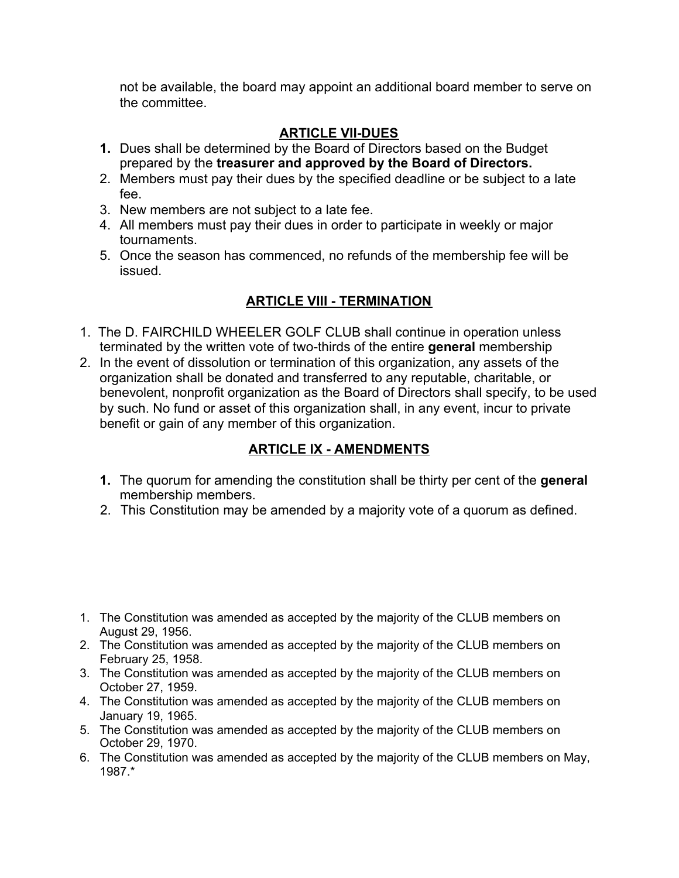not be available, the board may appoint an additional board member to serve on the committee.

#### **ARTICLE VII-DUES**

- **1.** Dues shall be determined by the Board of Directors based on the Budget prepared by the **treasurer and approved by the Board of Directors.**
- 2. Members must pay their dues by the specified deadline or be subject to a late fee.
- 3. New members are not subject to a late fee.
- 4. All members must pay their dues in order to participate in weekly or major tournaments.
- 5. Once the season has commenced, no refunds of the membership fee will be issued.

## **ARTICLE VIII - TERMINATION**

- 1. The D. FAIRCHILD WHEELER GOLF CLUB shall continue in operation unless terminated by the written vote of two-thirds of the entire **general** membership
- 2. In the event of dissolution or termination of this organization, any assets of the organization shall be donated and transferred to any reputable, charitable, or benevolent, nonprofit organization as the Board of Directors shall specify, to be used by such. No fund or asset of this organization shall, in any event, incur to private benefit or gain of any member of this organization.

## **ARTICLE IX - AMENDMENTS**

- **1.** The quorum for amending the constitution shall be thirty per cent of the **general** membership members.
- 2. This Constitution may be amended by a majority vote of a quorum as defined.

- 1. The Constitution was amended as accepted by the majority of the CLUB members on August 29, 1956.
- 2. The Constitution was amended as accepted by the majority of the CLUB members on February 25, 1958.
- 3. The Constitution was amended as accepted by the majority of the CLUB members on October 27, 1959.
- 4. The Constitution was amended as accepted by the majority of the CLUB members on January 19, 1965.
- 5. The Constitution was amended as accepted by the majority of the CLUB members on October 29, 1970.
- 6. The Constitution was amended as accepted by the majority of the CLUB members on May, 1987.\*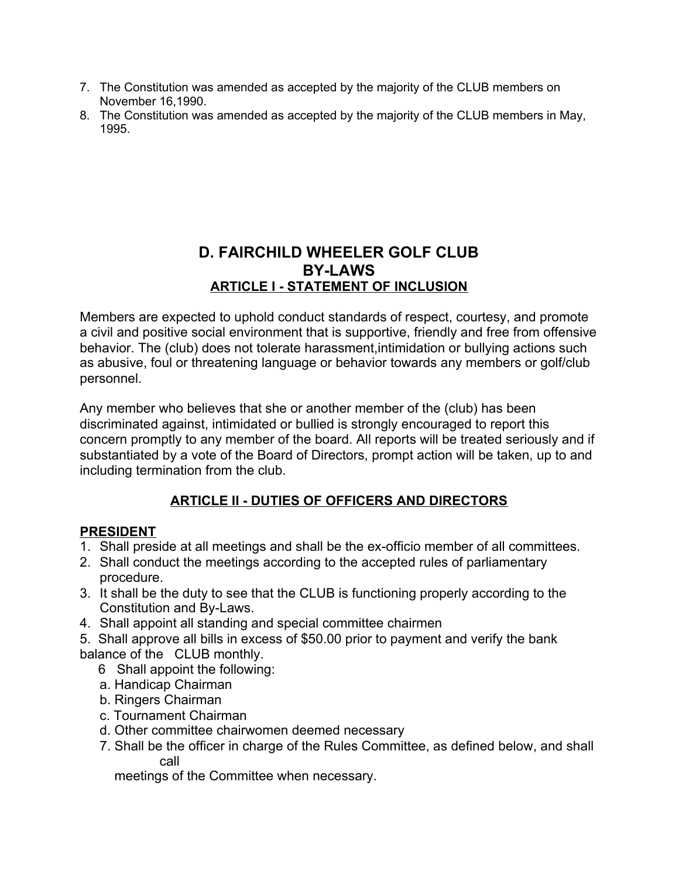- 7. The Constitution was amended as accepted by the majority of the CLUB members on November 16,1990.
- 8. The Constitution was amended as accepted by the majority of the CLUB members in May, 1995.

# **D. FAIRCHILD WHEELER GOLF CLUB BY-LAWS ARTICLE I - STATEMENT OF INCLUSION**

Members are expected to uphold conduct standards of respect, courtesy, and promote a civil and positive social environment that is supportive, friendly and free from offensive behavior. The (club) does not tolerate harassment,intimidation or bullying actions such as abusive, foul or threatening language or behavior towards any members or golf/club personnel.

Any member who believes that she or another member of the (club) has been discriminated against, intimidated or bullied is strongly encouraged to report this concern promptly to any member of the board. All reports will be treated seriously and if substantiated by a vote of the Board of Directors, prompt action will be taken, up to and including termination from the club.

# **ARTICLE II - DUTIES OF OFFICERS AND DIRECTORS**

#### **PRESIDENT**

- 1. Shall preside at all meetings and shall be the ex-officio member of all committees.
- 2. Shall conduct the meetings according to the accepted rules of parliamentary procedure.
- 3. It shall be the duty to see that the CLUB is functioning properly according to the Constitution and By-Laws.
- 4. Shall appoint all standing and special committee chairmen
- 5. Shall approve all bills in excess of \$50.00 prior to payment and verify the bank balance of the CLUB monthly.
	- 6 Shall appoint the following:
	- a. Handicap Chairman
	- b. Ringers Chairman
	- c. Tournament Chairman
	- d. Other committee chairwomen deemed necessary
	- 7. Shall be the officer in charge of the Rules Committee, as defined below, and shall call

meetings of the Committee when necessary.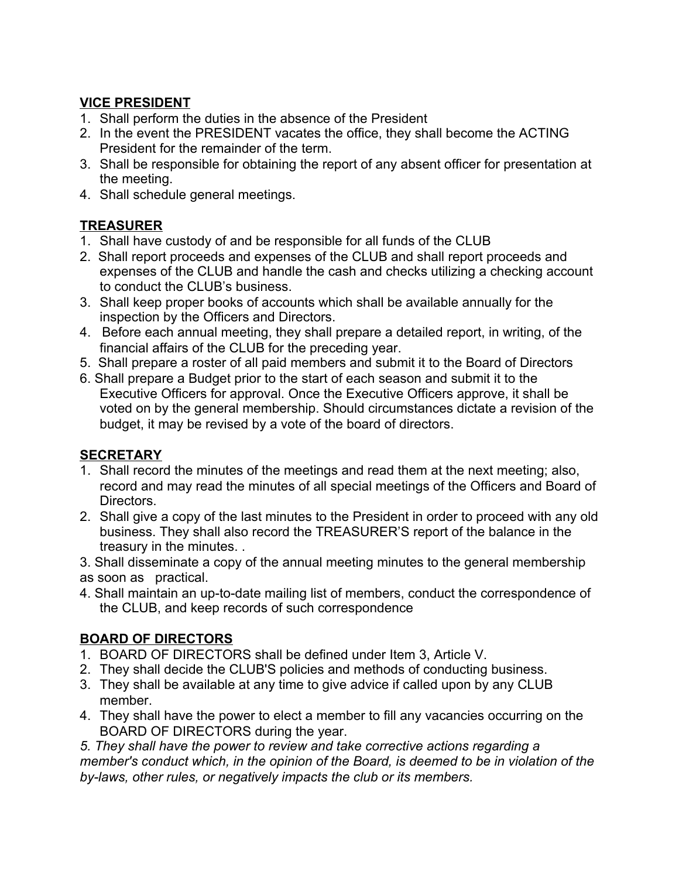## **VICE PRESIDENT**

- 1. Shall perform the duties in the absence of the President
- 2. In the event the PRESIDENT vacates the office, they shall become the ACTING President for the remainder of the term.
- 3. Shall be responsible for obtaining the report of any absent officer for presentation at the meeting.
- 4. Shall schedule general meetings.

# **TREASURER**

- 1. Shall have custody of and be responsible for all funds of the CLUB
- 2. Shall report proceeds and expenses of the CLUB and shall report proceeds and expenses of the CLUB and handle the cash and checks utilizing a checking account to conduct the CLUB's business.
- 3. Shall keep proper books of accounts which shall be available annually for the inspection by the Officers and Directors.
- 4. Before each annual meeting, they shall prepare a detailed report, in writing, of the financial affairs of the CLUB for the preceding year.
- 5. Shall prepare a roster of all paid members and submit it to the Board of Directors
- 6. Shall prepare a Budget prior to the start of each season and submit it to the Executive Officers for approval. Once the Executive Officers approve, it shall be voted on by the general membership. Should circumstances dictate a revision of the budget, it may be revised by a vote of the board of directors.

# **SECRETARY**

- 1. Shall record the minutes of the meetings and read them at the next meeting; also, record and may read the minutes of all special meetings of the Officers and Board of Directors.
- 2. Shall give a copy of the last minutes to the President in order to proceed with any old business. They shall also record the TREASURER'S report of the balance in the treasury in the minutes. .

3. Shall disseminate a copy of the annual meeting minutes to the general membership as soon as practical.

4. Shall maintain an up-to-date mailing list of members, conduct the correspondence of the CLUB, and keep records of such correspondence

# **BOARD OF DIRECTORS**

- 1. BOARD OF DIRECTORS shall be defined under Item 3, Article V.
- 2. They shall decide the CLUB'S policies and methods of conducting business.
- 3. They shall be available at any time to give advice if called upon by any CLUB member.
- 4. They shall have the power to elect a member to fill any vacancies occurring on the BOARD OF DIRECTORS during the year.

*5. They shall have the power to review and take corrective actions regarding a member's conduct which, in the opinion of the Board, is deemed to be in violation of the by-laws, other rules, or negatively impacts the club or its members.*